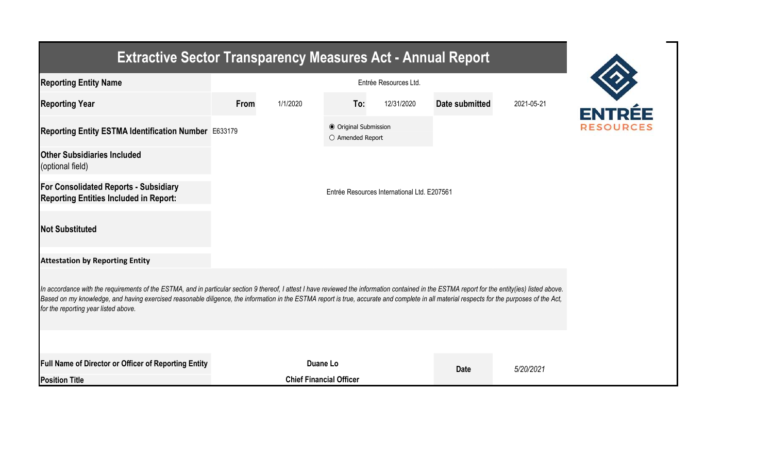| <b>Extractive Sector Transparency Measures Act - Annual Report</b>                                                                                                                                                                                                                                                                                                                                                                    |                                |                                             |                                           |            |                |            |  |  |  |  |
|---------------------------------------------------------------------------------------------------------------------------------------------------------------------------------------------------------------------------------------------------------------------------------------------------------------------------------------------------------------------------------------------------------------------------------------|--------------------------------|---------------------------------------------|-------------------------------------------|------------|----------------|------------|--|--|--|--|
| <b>Reporting Entity Name</b>                                                                                                                                                                                                                                                                                                                                                                                                          | Entrée Resources Ltd.          |                                             |                                           |            |                |            |  |  |  |  |
| <b>Reporting Year</b>                                                                                                                                                                                                                                                                                                                                                                                                                 | From                           | 1/1/2020                                    | To:                                       | 12/31/2020 | Date submitted | 2021-05-21 |  |  |  |  |
| Reporting Entity ESTMA Identification Number E633179                                                                                                                                                                                                                                                                                                                                                                                  |                                |                                             | ● Original Submission<br>O Amended Report |            |                |            |  |  |  |  |
| <b>Other Subsidiaries Included</b><br>(optional field)                                                                                                                                                                                                                                                                                                                                                                                |                                |                                             |                                           |            |                |            |  |  |  |  |
| <b>For Consolidated Reports - Subsidiary</b><br><b>Reporting Entities Included in Report:</b>                                                                                                                                                                                                                                                                                                                                         |                                | Entrée Resources International Ltd. E207561 |                                           |            |                |            |  |  |  |  |
| <b>Not Substituted</b>                                                                                                                                                                                                                                                                                                                                                                                                                |                                |                                             |                                           |            |                |            |  |  |  |  |
| <b>Attestation by Reporting Entity</b>                                                                                                                                                                                                                                                                                                                                                                                                |                                |                                             |                                           |            |                |            |  |  |  |  |
| In accordance with the requirements of the ESTMA, and in particular section 9 thereof, I attest I have reviewed the information contained in the ESTMA report for the entity(ies) listed above.<br>Based on my knowledge, and having exercised reasonable diligence, the information in the ESTMA report is true, accurate and complete in all material respects for the purposes of the Act,<br>for the reporting year listed above. |                                |                                             |                                           |            |                |            |  |  |  |  |
|                                                                                                                                                                                                                                                                                                                                                                                                                                       |                                |                                             |                                           |            |                |            |  |  |  |  |
| Full Name of Director or Officer of Reporting Entity                                                                                                                                                                                                                                                                                                                                                                                  |                                |                                             | Duane Lo                                  |            | <b>Date</b>    | 5/20/2021  |  |  |  |  |
| <b>Position Title</b>                                                                                                                                                                                                                                                                                                                                                                                                                 | <b>Chief Financial Officer</b> |                                             |                                           |            |                |            |  |  |  |  |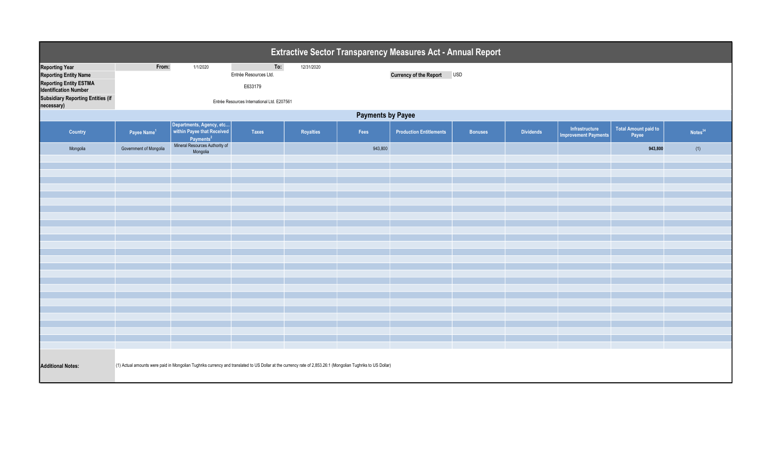| Extractive Sector Transparency Measures Act - Annual Report                                                                                                                      |                                                                                                                                                              |                                                                                 |                                                                                        |            |         |                                |                |                  |                                               |                                      |                     |
|----------------------------------------------------------------------------------------------------------------------------------------------------------------------------------|--------------------------------------------------------------------------------------------------------------------------------------------------------------|---------------------------------------------------------------------------------|----------------------------------------------------------------------------------------|------------|---------|--------------------------------|----------------|------------------|-----------------------------------------------|--------------------------------------|---------------------|
| <b>Reporting Year</b><br><b>Reporting Entity Name</b><br><b>Reporting Entity ESTMA</b><br><b>Identification Number</b><br><b>Subsidiary Reporting Entities (if</b><br>necessary) | From:                                                                                                                                                        | 1/1/2020                                                                        | To:<br>Entrée Resources Ltd.<br>E633179<br>Entrée Resources International Ltd. E207561 | 12/31/2020 |         | Currency of the Report USD     |                |                  |                                               |                                      |                     |
|                                                                                                                                                                                  | <b>Payments by Payee</b>                                                                                                                                     |                                                                                 |                                                                                        |            |         |                                |                |                  |                                               |                                      |                     |
| Country                                                                                                                                                                          | Payee Name <sup>1</sup>                                                                                                                                      | Departments, Agency, etc<br>within Payee that Received<br>Payments <sup>2</sup> | Taxes                                                                                  | Royalties  | Fees    | <b>Production Entitlements</b> | <b>Bonuses</b> | <b>Dividends</b> | Infrastructure<br><b>Improvement Payments</b> | <b>Total Amount paid to</b><br>Payee | Notes <sup>34</sup> |
| Mongolia                                                                                                                                                                         | Government of Mongolia                                                                                                                                       | Mineral Resources Authority of<br>Mongolia                                      |                                                                                        |            | 943,800 |                                |                |                  |                                               | 943,800                              | (1)                 |
|                                                                                                                                                                                  |                                                                                                                                                              |                                                                                 |                                                                                        |            |         |                                |                |                  |                                               |                                      |                     |
|                                                                                                                                                                                  |                                                                                                                                                              |                                                                                 |                                                                                        |            |         |                                |                |                  |                                               |                                      |                     |
|                                                                                                                                                                                  |                                                                                                                                                              |                                                                                 |                                                                                        |            |         |                                |                |                  |                                               |                                      |                     |
|                                                                                                                                                                                  |                                                                                                                                                              |                                                                                 |                                                                                        |            |         |                                |                |                  |                                               |                                      |                     |
|                                                                                                                                                                                  |                                                                                                                                                              |                                                                                 |                                                                                        |            |         |                                |                |                  |                                               |                                      |                     |
|                                                                                                                                                                                  |                                                                                                                                                              |                                                                                 |                                                                                        |            |         |                                |                |                  |                                               |                                      |                     |
|                                                                                                                                                                                  |                                                                                                                                                              |                                                                                 |                                                                                        |            |         |                                |                |                  |                                               |                                      |                     |
|                                                                                                                                                                                  |                                                                                                                                                              |                                                                                 |                                                                                        |            |         |                                |                |                  |                                               |                                      |                     |
|                                                                                                                                                                                  |                                                                                                                                                              |                                                                                 |                                                                                        |            |         |                                |                |                  |                                               |                                      |                     |
|                                                                                                                                                                                  |                                                                                                                                                              |                                                                                 |                                                                                        |            |         |                                |                |                  |                                               |                                      |                     |
|                                                                                                                                                                                  |                                                                                                                                                              |                                                                                 |                                                                                        |            |         |                                |                |                  |                                               |                                      |                     |
|                                                                                                                                                                                  |                                                                                                                                                              |                                                                                 |                                                                                        |            |         |                                |                |                  |                                               |                                      |                     |
|                                                                                                                                                                                  |                                                                                                                                                              |                                                                                 |                                                                                        |            |         |                                |                |                  |                                               |                                      |                     |
|                                                                                                                                                                                  |                                                                                                                                                              |                                                                                 |                                                                                        |            |         |                                |                |                  |                                               |                                      |                     |
| <b>Additional Notes:</b>                                                                                                                                                         | (1) Actual amounts were paid in Mongolian Tughriks currency and translated to US Dollar at the currency rate of 2,853.26:1 (Mongolian Tughriks to US Dollar) |                                                                                 |                                                                                        |            |         |                                |                |                  |                                               |                                      |                     |